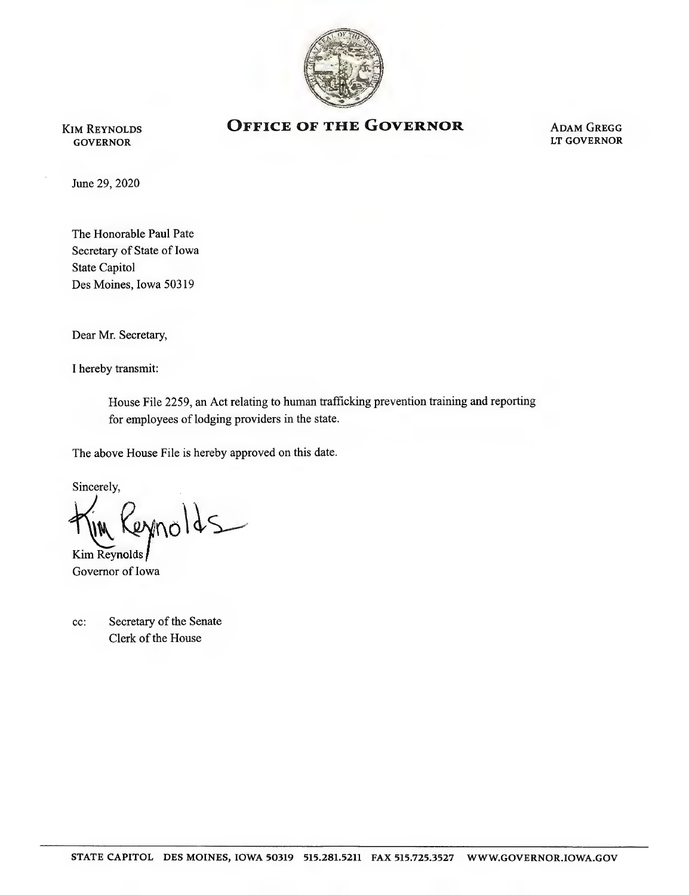

Kim Reynolds **GOVERNOR** 

## **OFFICE OF THE GOVERNOR ADAM GREGG**

LT GOVERNOR

June 29, 2020

The Honorable Paul Pate Secretary of State of Iowa State Capitol Des Moines, Iowa 50319

Dear Mr. Secretary,

1 hereby transmit;

House File 2259, an Act relating to human trafficking prevention training and reporting for employees of lodging providers in the state.

The above House File is hereby approved on this date.

Sincerely,

eynolds

Kim Reynolds Governor of Iowa

| $cc$ : | Secretary of the Senate |
|--------|-------------------------|
|        | Clerk of the House      |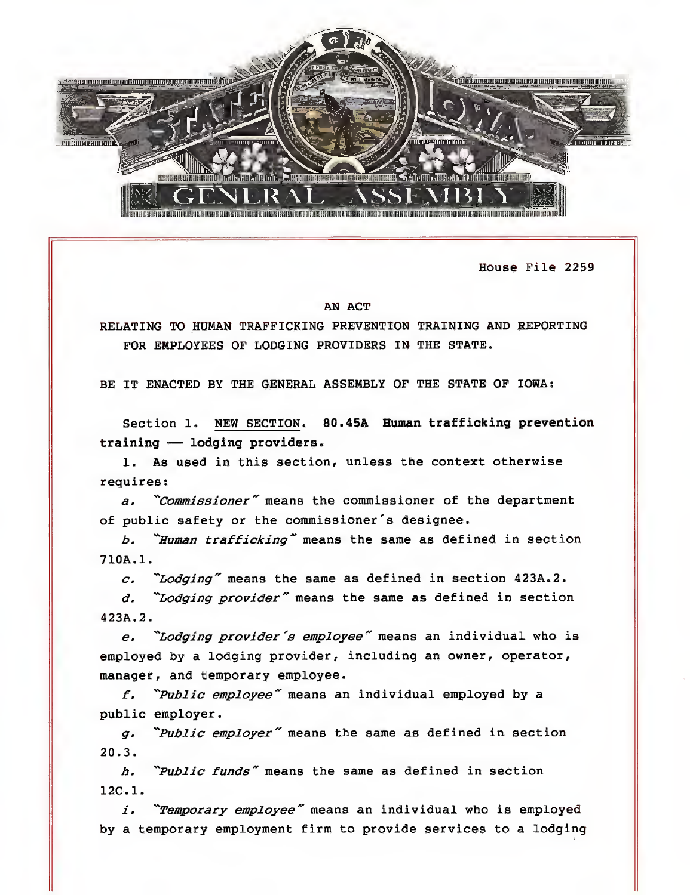

House File 2259

## AN ACT

RELATING TO HUMAN TRAFFICKING PREVENTION TRAINING AND REPORTING FOR EMPLOYEES OF LODGING PROVIDERS IN THE STATE.

BE IT ENACTED BY THE GENERAL ASSEMBLY OF THE STATE OF IOWA:

Section 1. NEW SECTION. 80.45A Human trafficking prevention training — lodging providers.

1. As used in this section, unless the context otherwise requires:

a. "Commissioner" means the commissioner of the department of public safety or the commissioner's designee.

b. "Human trafficking" means the same as defined in section 710A.1.

 $c.$  "Lodging" means the same as defined in section 423A.2.

d. "Lodging provider" means the same as defined in section 423A.2.

e. "Lodging provider's employee" means an individual who is employed by a lodging provider, including an owner, operator, manager, and temporary employee.

 $f.$  "Public employee" means an individual employed by a public employer.

g. "Public employer" means the same as defined in section 20.3.

h. "Public funds" means the same as defined in section 12C.1.

 $i.$  "Temporary employee" means an individual who is employed by a temporary employment firm to provide services to a lodging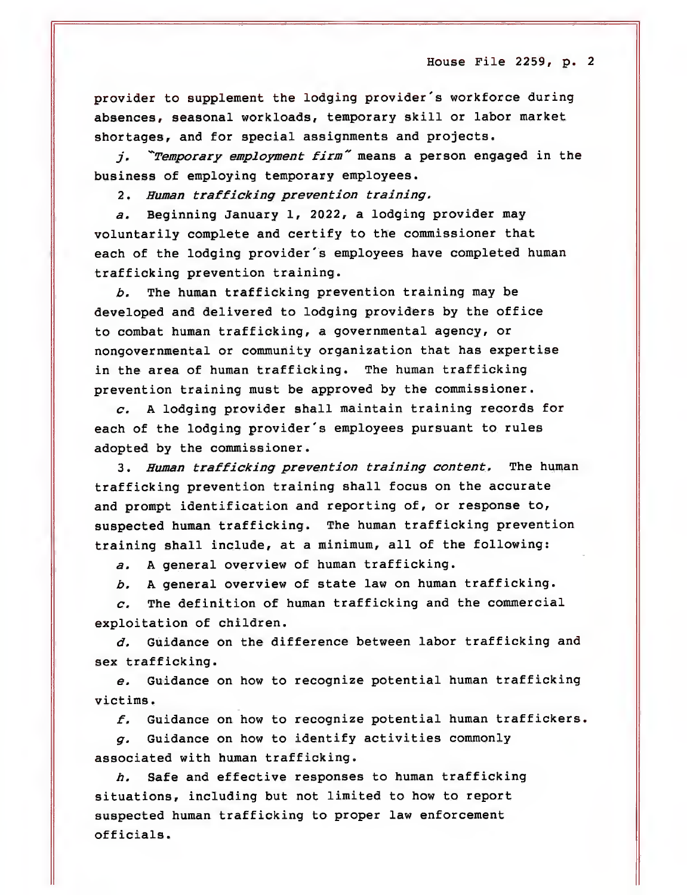House File 2259, p. 2

provider to supplement the lodging provider's workforce during absences, seasonal workloads, temporary skill or labor market shortages, and for special assignments and projects.

j. "Temporary employment firm" means a person engaged in the business of employing temporary employees.

2. Human trafficking prevention training.

a. Beginning January 1, 2022, a lodging provider may voluntarily complete and certify to the commissioner that each of the lodging provider's employees have completed human trafficking prevention training.

b. The human trafficking prevention training may be developed and delivered to lodging providers by the office to combat human trafficking, a governmental agency, or nongovernmental or community organization that has expertise in the area of human trafficking. The human trafficking prevention training must be approved by the commissioner.

 $c.$  A lodging provider shall maintain training records for each of the lodging provider's employees pursuant to rules adopted by the commissioner.

3. Human trafficking prevention training content. The human trafficking prevention training shall focus on the accurate and prompt identification and reporting of, or response to, suspected human trafficking. The human trafficking prevention training shall include, at a minimum, all of the following:

a. A general overview of human trafficking.

b. A general overview of state law on human trafficking.

c. The definition of human trafficking and the commercial exploitation of children.

d. Guidance on the difference between labor trafficking and sex trafficking.

e. Guidance on how to recognize potential human trafficking victims.

 $f.$  Guidance on how to recognize potential human traffickers.

g. Guidance on how to identify activities commonly associated with human trafficking.

h. Safe and effective responses to human trafficking situations, including but not limited to how to report suspected human trafficking to proper law enforcement officials.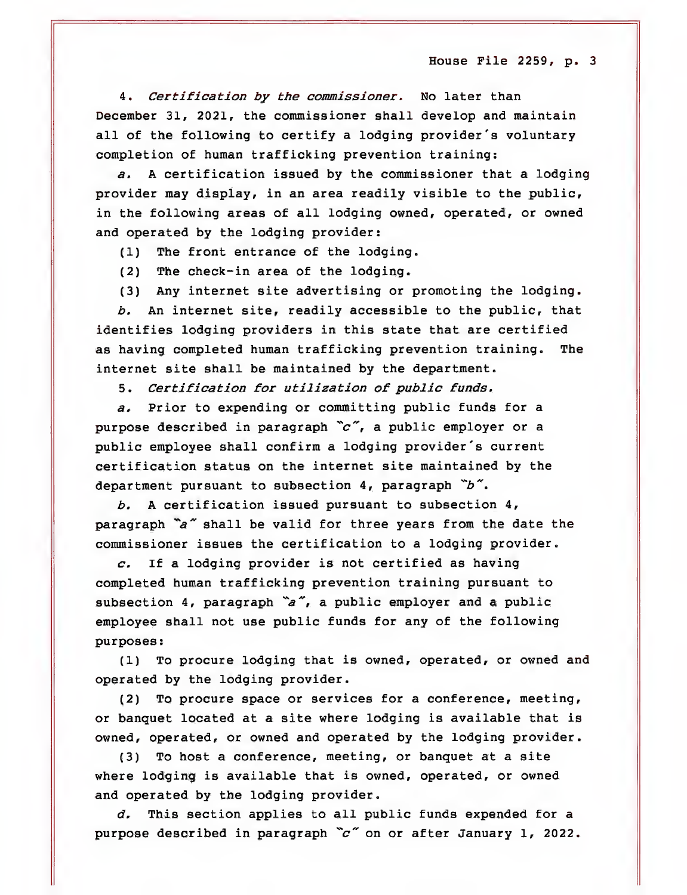House Pile 2259, p. 3

4. Certification by the commissioner. No later than December 31, 2021, the commissioner shall develop and maintain all of the following to certify a lodging provider's voluntary completion of human trafficking prevention training:

a. A certification issued by the commissioner that a lodging provider may display, in an area readily visible to the public, in the following areas of all lodging owned, operated, or owned and operated by the lodging provider:

(1) The front entrance of the lodging.

(2) The check-in area of the lodging.

(3) Any internet site advertising or promoting the lodging.

b. An internet site, readily accessible to the public, that identifies lodging providers in this state that are certified as having completed human trafficking prevention training. The internet site shall be maintained by the department.

5. Certification for utilization of public funds.

a. Prior to expending or committing public funds for a purpose described in paragraph  $\tilde{c}$ , a public employer or a public employee shall confirm a lodging provider's current certification status on the internet site maintained by the department pursuant to subsection 4, paragraph  $b^{\infty}$ .

b. A certification issued pursuant to subsection 4, paragraph  $a''$  shall be valid for three years from the date the commissioner issues the certification to a lodging provider.

 $c$ . If a lodging provider is not certified as having completed human trafficking prevention training pursuant to subsection 4, paragraph  $a''$ , a public employer and a public employee shall not use public funds for any of the following purposes:

(1) To procure lodging that is owned, operated, or owned and operated by the lodging provider.

(2) To procure space or services for a conference, meeting, or banquet located at a site where lodging is available that is owned, operated, or owned and operated by the lodging provider.

(3) To host a conference, meeting, or banquet at a site where lodging is available that is owned, operated, or owned and operated by the lodging provider.

 $d.$  This section applies to all public funds expended for a purpose described in paragraph  $\tilde{c}$ " on or after January 1, 2022.